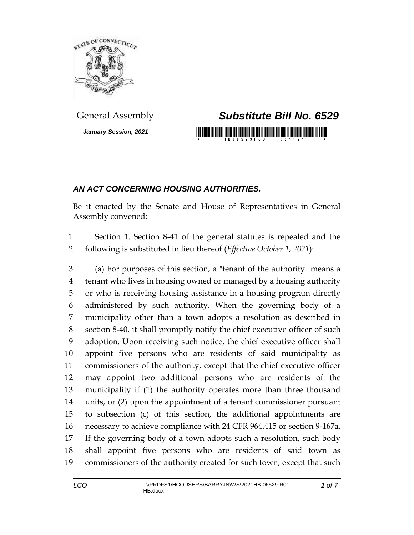

*January Session, 2021*

## General Assembly *Substitute Bill No. 6529*

<u> 1999 - Johann Maria Maria Maria Maria Maria Maria Maria Maria Maria Maria Maria Maria Maria Maria Maria Mari</u>

## *AN ACT CONCERNING HOUSING AUTHORITIES.*

Be it enacted by the Senate and House of Representatives in General Assembly convened:

 Section 1. Section 8-41 of the general statutes is repealed and the following is substituted in lieu thereof (*Effective October 1, 2021*):

 (a) For purposes of this section, a "tenant of the authority" means a tenant who lives in housing owned or managed by a housing authority or who is receiving housing assistance in a housing program directly administered by such authority. When the governing body of a municipality other than a town adopts a resolution as described in section 8-40, it shall promptly notify the chief executive officer of such adoption. Upon receiving such notice, the chief executive officer shall appoint five persons who are residents of said municipality as commissioners of the authority, except that the chief executive officer may appoint two additional persons who are residents of the municipality if (1) the authority operates more than three thousand units, or (2) upon the appointment of a tenant commissioner pursuant to subsection (c) of this section, the additional appointments are necessary to achieve compliance with 24 CFR 964.415 or section 9-167a. If the governing body of a town adopts such a resolution, such body shall appoint five persons who are residents of said town as commissioners of the authority created for such town, except that such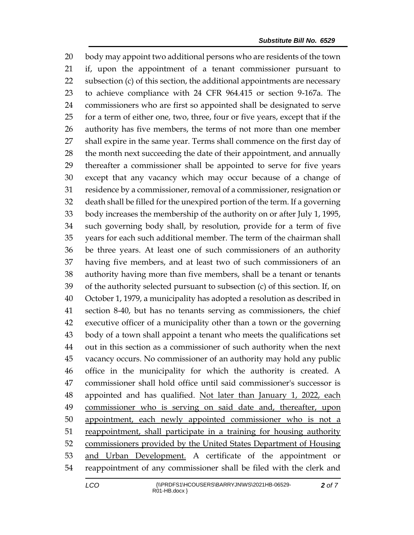body may appoint two additional persons who are residents of the town if, upon the appointment of a tenant commissioner pursuant to subsection (c) of this section, the additional appointments are necessary to achieve compliance with 24 CFR 964.415 or section 9-167a. The commissioners who are first so appointed shall be designated to serve for a term of either one, two, three, four or five years, except that if the authority has five members, the terms of not more than one member shall expire in the same year. Terms shall commence on the first day of 28 the month next succeeding the date of their appointment, and annually thereafter a commissioner shall be appointed to serve for five years except that any vacancy which may occur because of a change of residence by a commissioner, removal of a commissioner, resignation or death shall be filled for the unexpired portion of the term. If a governing body increases the membership of the authority on or after July 1, 1995, such governing body shall, by resolution, provide for a term of five years for each such additional member. The term of the chairman shall be three years. At least one of such commissioners of an authority having five members, and at least two of such commissioners of an authority having more than five members, shall be a tenant or tenants of the authority selected pursuant to subsection (c) of this section. If, on October 1, 1979, a municipality has adopted a resolution as described in section 8-40, but has no tenants serving as commissioners, the chief executive officer of a municipality other than a town or the governing body of a town shall appoint a tenant who meets the qualifications set out in this section as a commissioner of such authority when the next vacancy occurs. No commissioner of an authority may hold any public office in the municipality for which the authority is created. A commissioner shall hold office until said commissioner's successor is 48 appointed and has qualified. Not later than January 1, 2022, each commissioner who is serving on said date and, thereafter, upon 50 appointment, each newly appointed commissioner who is not a reappointment, shall participate in a training for housing authority commissioners provided by the United States Department of Housing 53 and Urban Development. A certificate of the appointment or reappointment of any commissioner shall be filed with the clerk and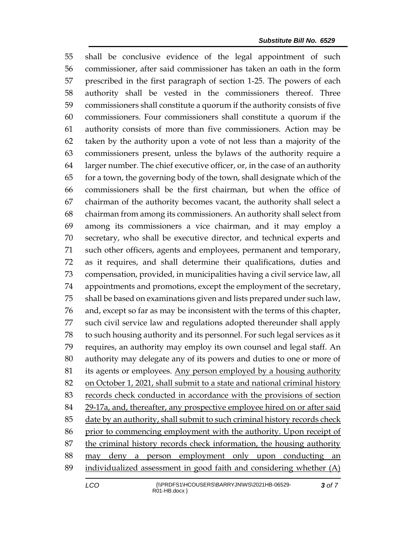shall be conclusive evidence of the legal appointment of such commissioner, after said commissioner has taken an oath in the form prescribed in the first paragraph of section 1-25. The powers of each authority shall be vested in the commissioners thereof. Three commissioners shall constitute a quorum if the authority consists of five commissioners. Four commissioners shall constitute a quorum if the authority consists of more than five commissioners. Action may be taken by the authority upon a vote of not less than a majority of the commissioners present, unless the bylaws of the authority require a larger number. The chief executive officer, or, in the case of an authority for a town, the governing body of the town, shall designate which of the commissioners shall be the first chairman, but when the office of chairman of the authority becomes vacant, the authority shall select a chairman from among its commissioners. An authority shall select from among its commissioners a vice chairman, and it may employ a secretary, who shall be executive director, and technical experts and such other officers, agents and employees, permanent and temporary, as it requires, and shall determine their qualifications, duties and compensation, provided, in municipalities having a civil service law, all appointments and promotions, except the employment of the secretary, shall be based on examinations given and lists prepared under such law, and, except so far as may be inconsistent with the terms of this chapter, such civil service law and regulations adopted thereunder shall apply to such housing authority and its personnel. For such legal services as it requires, an authority may employ its own counsel and legal staff. An authority may delegate any of its powers and duties to one or more of its agents or employees. Any person employed by a housing authority 82 on October 1, 2021, shall submit to a state and national criminal history records check conducted in accordance with the provisions of section 29-17a, and, thereafter, any prospective employee hired on or after said 85 date by an authority, shall submit to such criminal history records check prior to commencing employment with the authority. Upon receipt of the criminal history records check information, the housing authority may deny a person employment only upon conducting an individualized assessment in good faith and considering whether (A)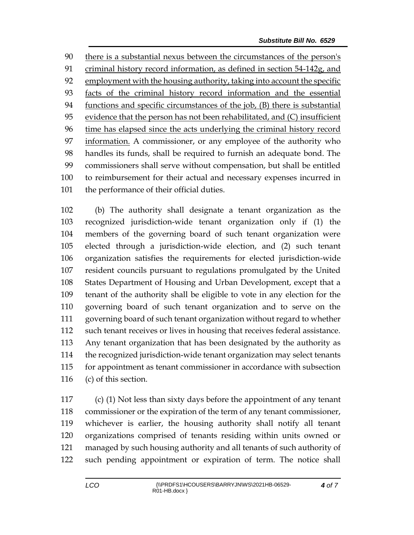there is a substantial nexus between the circumstances of the person's criminal history record information, as defined in section 54-142g, and employment with the housing authority, taking into account the specific facts of the criminal history record information and the essential functions and specific circumstances of the job, (B) there is substantial evidence that the person has not been rehabilitated, and (C) insufficient time has elapsed since the acts underlying the criminal history record information. A commissioner, or any employee of the authority who handles its funds, shall be required to furnish an adequate bond. The commissioners shall serve without compensation, but shall be entitled to reimbursement for their actual and necessary expenses incurred in 101 the performance of their official duties.

 (b) The authority shall designate a tenant organization as the recognized jurisdiction-wide tenant organization only if (1) the members of the governing board of such tenant organization were elected through a jurisdiction-wide election, and (2) such tenant organization satisfies the requirements for elected jurisdiction-wide resident councils pursuant to regulations promulgated by the United States Department of Housing and Urban Development, except that a tenant of the authority shall be eligible to vote in any election for the governing board of such tenant organization and to serve on the governing board of such tenant organization without regard to whether such tenant receives or lives in housing that receives federal assistance. Any tenant organization that has been designated by the authority as the recognized jurisdiction-wide tenant organization may select tenants for appointment as tenant commissioner in accordance with subsection (c) of this section.

 (c) (1) Not less than sixty days before the appointment of any tenant commissioner or the expiration of the term of any tenant commissioner, whichever is earlier, the housing authority shall notify all tenant organizations comprised of tenants residing within units owned or managed by such housing authority and all tenants of such authority of such pending appointment or expiration of term. The notice shall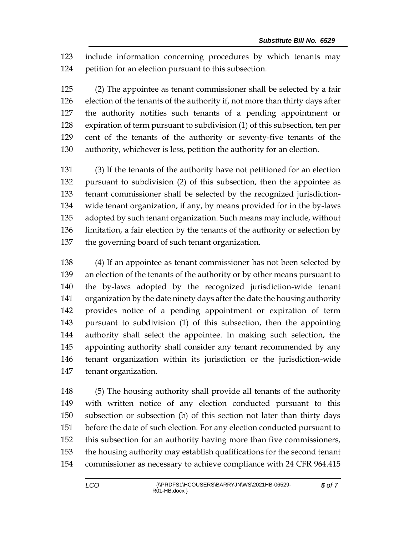include information concerning procedures by which tenants may petition for an election pursuant to this subsection.

 (2) The appointee as tenant commissioner shall be selected by a fair election of the tenants of the authority if, not more than thirty days after the authority notifies such tenants of a pending appointment or expiration of term pursuant to subdivision (1) of this subsection, ten per cent of the tenants of the authority or seventy-five tenants of the authority, whichever is less, petition the authority for an election.

 (3) If the tenants of the authority have not petitioned for an election pursuant to subdivision (2) of this subsection, then the appointee as tenant commissioner shall be selected by the recognized jurisdiction- wide tenant organization, if any, by means provided for in the by-laws adopted by such tenant organization. Such means may include, without limitation, a fair election by the tenants of the authority or selection by the governing board of such tenant organization.

 (4) If an appointee as tenant commissioner has not been selected by an election of the tenants of the authority or by other means pursuant to the by-laws adopted by the recognized jurisdiction-wide tenant organization by the date ninety days after the date the housing authority provides notice of a pending appointment or expiration of term pursuant to subdivision (1) of this subsection, then the appointing authority shall select the appointee. In making such selection, the appointing authority shall consider any tenant recommended by any tenant organization within its jurisdiction or the jurisdiction-wide tenant organization.

 (5) The housing authority shall provide all tenants of the authority with written notice of any election conducted pursuant to this subsection or subsection (b) of this section not later than thirty days before the date of such election. For any election conducted pursuant to this subsection for an authority having more than five commissioners, the housing authority may establish qualifications for the second tenant commissioner as necessary to achieve compliance with 24 CFR 964.415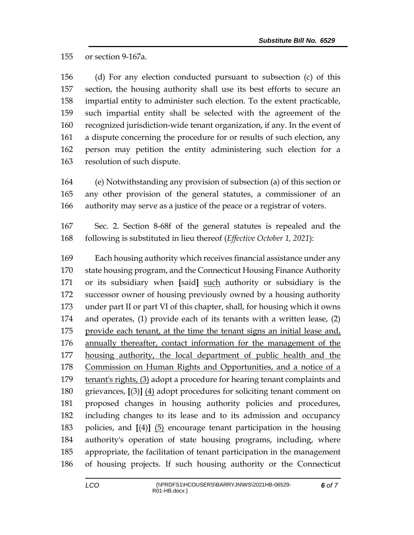or section 9-167a.

 (d) For any election conducted pursuant to subsection (c) of this section, the housing authority shall use its best efforts to secure an impartial entity to administer such election. To the extent practicable, such impartial entity shall be selected with the agreement of the recognized jurisdiction-wide tenant organization, if any. In the event of a dispute concerning the procedure for or results of such election, any person may petition the entity administering such election for a resolution of such dispute.

 (e) Notwithstanding any provision of subsection (a) of this section or any other provision of the general statutes, a commissioner of an authority may serve as a justice of the peace or a registrar of voters.

 Sec. 2. Section 8-68f of the general statutes is repealed and the following is substituted in lieu thereof (*Effective October 1, 2021*):

 Each housing authority which receives financial assistance under any state housing program, and the Connecticut Housing Finance Authority or its subsidiary when **[**said**]** such authority or subsidiary is the successor owner of housing previously owned by a housing authority under part II or part VI of this chapter, shall, for housing which it owns and operates, (1) provide each of its tenants with a written lease, (2) 175 provide each tenant, at the time the tenant signs an initial lease and, annually thereafter, contact information for the management of the housing authority, the local department of public health and the 178 Commission on Human Rights and Opportunities, and a notice of a tenant's rights, (3) adopt a procedure for hearing tenant complaints and grievances, **[**(3)**]** (4) adopt procedures for soliciting tenant comment on proposed changes in housing authority policies and procedures, including changes to its lease and to its admission and occupancy policies, and **[**(4)**]** (5) encourage tenant participation in the housing authority's operation of state housing programs, including, where appropriate, the facilitation of tenant participation in the management of housing projects. If such housing authority or the Connecticut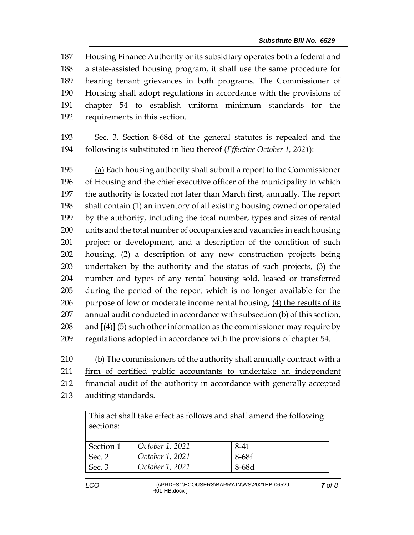Housing Finance Authority or its subsidiary operates both a federal and a state-assisted housing program, it shall use the same procedure for hearing tenant grievances in both programs. The Commissioner of Housing shall adopt regulations in accordance with the provisions of chapter 54 to establish uniform minimum standards for the requirements in this section.

 Sec. 3. Section 8-68d of the general statutes is repealed and the following is substituted in lieu thereof (*Effective October 1, 2021*):

 (a) Each housing authority shall submit a report to the Commissioner of Housing and the chief executive officer of the municipality in which the authority is located not later than March first, annually. The report shall contain (1) an inventory of all existing housing owned or operated by the authority, including the total number, types and sizes of rental units and the total number of occupancies and vacancies in each housing project or development, and a description of the condition of such housing, (2) a description of any new construction projects being undertaken by the authority and the status of such projects, (3) the number and types of any rental housing sold, leased or transferred during the period of the report which is no longer available for the 206 purpose of low or moderate income rental housing,  $(4)$  the results of its annual audit conducted in accordance with subsection (b) of this section, and **[**(4)**]** (5) such other information as the commissioner may require by regulations adopted in accordance with the provisions of chapter 54.

(b) The commissioners of the authority shall annually contract with a

firm of certified public accountants to undertake an independent

financial audit of the authority in accordance with generally accepted

auditing standards.

This act shall take effect as follows and shall amend the following sections:

| Section 1 | October 1, 2021 | 8-41  |
|-----------|-----------------|-------|
| Sec. 2    | October 1, 2021 | 8-68f |
| Sec. 3    | October 1, 2021 | 8-68d |
|           |                 |       |